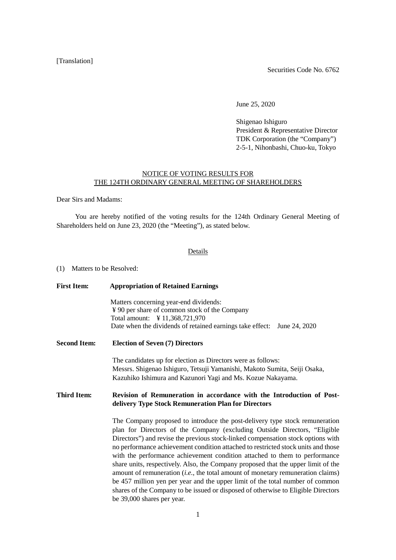## [Translation]

Securities Code No. 6762

June 25, 2020

Shigenao Ishiguro President & Representative Director TDK Corporation (the "Company") 2-5-1, Nihonbashi, Chuo-ku, Tokyo

## NOTICE OF VOTING RESULTS FOR THE 124TH ORDINARY GENERAL MEETING OF SHAREHOLDERS

Dear Sirs and Madams:

You are hereby notified of the voting results for the 124th Ordinary General Meeting of Shareholders held on June 23, 2020 (the "Meeting"), as stated below.

## Details

(1) Matters to be Resolved:

| <b>First Item:</b>  | <b>Appropriation of Retained Earnings</b><br>Matters concerning year-end dividends:<br>¥ 90 per share of common stock of the Company<br>Total amount: ¥ 11,368,721,970<br>Date when the dividends of retained earnings take effect: June 24, 2020                                                                                                                                                                                                                                                                                                                                                                                                                                                                                                                                             |  |  |  |  |  |
|---------------------|-----------------------------------------------------------------------------------------------------------------------------------------------------------------------------------------------------------------------------------------------------------------------------------------------------------------------------------------------------------------------------------------------------------------------------------------------------------------------------------------------------------------------------------------------------------------------------------------------------------------------------------------------------------------------------------------------------------------------------------------------------------------------------------------------|--|--|--|--|--|
|                     |                                                                                                                                                                                                                                                                                                                                                                                                                                                                                                                                                                                                                                                                                                                                                                                               |  |  |  |  |  |
| <b>Second Item:</b> | <b>Election of Seven (7) Directors</b>                                                                                                                                                                                                                                                                                                                                                                                                                                                                                                                                                                                                                                                                                                                                                        |  |  |  |  |  |
|                     | The candidates up for election as Directors were as follows:<br>Messrs. Shigenao Ishiguro, Tetsuji Yamanishi, Makoto Sumita, Seiji Osaka,<br>Kazuhiko Ishimura and Kazunori Yagi and Ms. Kozue Nakayama.                                                                                                                                                                                                                                                                                                                                                                                                                                                                                                                                                                                      |  |  |  |  |  |
| <b>Third Item:</b>  | Revision of Remuneration in accordance with the Introduction of Post-<br>delivery Type Stock Remuneration Plan for Directors                                                                                                                                                                                                                                                                                                                                                                                                                                                                                                                                                                                                                                                                  |  |  |  |  |  |
|                     | The Company proposed to introduce the post-delivery type stock remuneration<br>plan for Directors of the Company (excluding Outside Directors, "Eligible<br>Directors") and revise the previous stock-linked compensation stock options with<br>no performance achievement condition attached to restricted stock units and those<br>with the performance achievement condition attached to them to performance<br>share units, respectively. Also, the Company proposed that the upper limit of the<br>amount of remuneration $(i.e.,$ the total amount of monetary remuneration claims)<br>be 457 million yen per year and the upper limit of the total number of common<br>shares of the Company to be issued or disposed of otherwise to Eligible Directors<br>be 39,000 shares per year. |  |  |  |  |  |